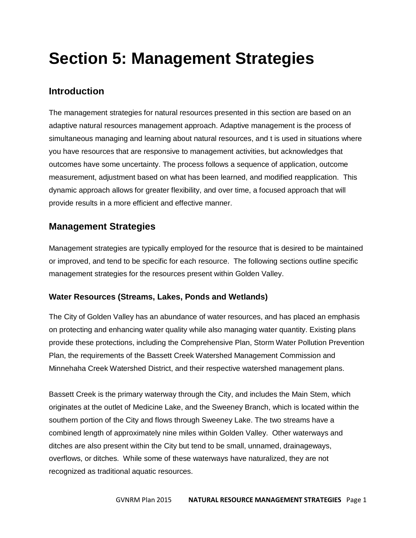# **Section 5: Management Strategies**

# **Introduction**

The management strategies for natural resources presented in this section are based on an adaptive natural resources management approach. Adaptive management is the process of simultaneous managing and learning about natural resources, and t is used in situations where you have resources that are responsive to management activities, but acknowledges that outcomes have some uncertainty. The process follows a sequence of application, outcome measurement, adjustment based on what has been learned, and modified reapplication. This dynamic approach allows for greater flexibility, and over time, a focused approach that will provide results in a more efficient and effective manner.

# **Management Strategies**

Management strategies are typically employed for the resource that is desired to be maintained or improved, and tend to be specific for each resource. The following sections outline specific management strategies for the resources present within Golden Valley.

# **Water Resources (Streams, Lakes, Ponds and Wetlands)**

The City of Golden Valley has an abundance of water resources, and has placed an emphasis on protecting and enhancing water quality while also managing water quantity. Existing plans provide these protections, including the Comprehensive Plan, Storm Water Pollution Prevention Plan, the requirements of the Bassett Creek Watershed Management Commission and Minnehaha Creek Watershed District, and their respective watershed management plans.

Bassett Creek is the primary waterway through the City, and includes the Main Stem, which originates at the outlet of Medicine Lake, and the Sweeney Branch, which is located within the southern portion of the City and flows through Sweeney Lake. The two streams have a combined length of approximately nine miles within Golden Valley. Other waterways and ditches are also present within the City but tend to be small, unnamed, drainageways, overflows, or ditches. While some of these waterways have naturalized, they are not recognized as traditional aquatic resources.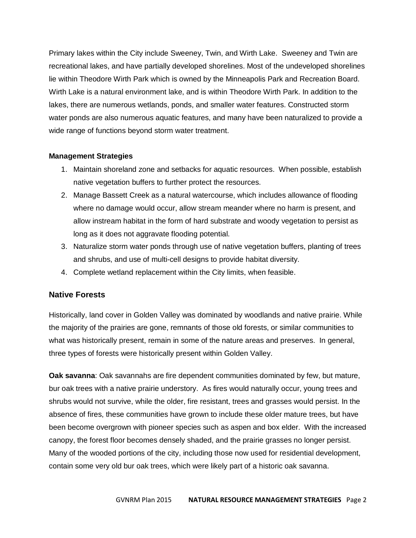Primary lakes within the City include Sweeney, Twin, and Wirth Lake. Sweeney and Twin are recreational lakes, and have partially developed shorelines. Most of the undeveloped shorelines lie within Theodore Wirth Park which is owned by the Minneapolis Park and Recreation Board. Wirth Lake is a natural environment lake, and is within Theodore Wirth Park. In addition to the lakes, there are numerous wetlands, ponds, and smaller water features. Constructed storm water ponds are also numerous aquatic features, and many have been naturalized to provide a wide range of functions beyond storm water treatment.

#### **Management Strategies**

- 1. Maintain shoreland zone and setbacks for aquatic resources. When possible, establish native vegetation buffers to further protect the resources.
- 2. Manage Bassett Creek as a natural watercourse, which includes allowance of flooding where no damage would occur, allow stream meander where no harm is present, and allow instream habitat in the form of hard substrate and woody vegetation to persist as long as it does not aggravate flooding potential.
- 3. Naturalize storm water ponds through use of native vegetation buffers, planting of trees and shrubs, and use of multi-cell designs to provide habitat diversity.
- 4. Complete wetland replacement within the City limits, when feasible.

#### **Native Forests**

Historically, land cover in Golden Valley was dominated by woodlands and native prairie. While the majority of the prairies are gone, remnants of those old forests, or similar communities to what was historically present, remain in some of the nature areas and preserves. In general, three types of forests were historically present within Golden Valley.

**Oak savanna**: Oak savannahs are fire dependent communities dominated by few, but mature, bur oak trees with a native prairie understory. As fires would naturally occur, young trees and shrubs would not survive, while the older, fire resistant, trees and grasses would persist. In the absence of fires, these communities have grown to include these older mature trees, but have been become overgrown with pioneer species such as aspen and box elder. With the increased canopy, the forest floor becomes densely shaded, and the prairie grasses no longer persist. Many of the wooded portions of the city, including those now used for residential development, contain some very old bur oak trees, which were likely part of a historic oak savanna.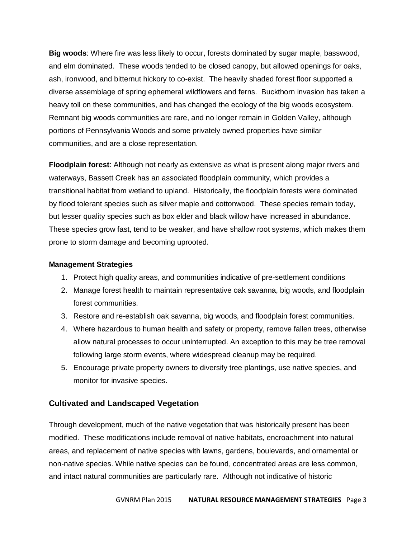**Big woods**: Where fire was less likely to occur, forests dominated by sugar maple, basswood, and elm dominated. These woods tended to be closed canopy, but allowed openings for oaks, ash, ironwood, and bitternut hickory to co-exist. The heavily shaded forest floor supported a diverse assemblage of spring ephemeral wildflowers and ferns. Buckthorn invasion has taken a heavy toll on these communities, and has changed the ecology of the big woods ecosystem. Remnant big woods communities are rare, and no longer remain in Golden Valley, although portions of Pennsylvania Woods and some privately owned properties have similar communities, and are a close representation.

**Floodplain forest**: Although not nearly as extensive as what is present along major rivers and waterways, Bassett Creek has an associated floodplain community, which provides a transitional habitat from wetland to upland. Historically, the floodplain forests were dominated by flood tolerant species such as silver maple and cottonwood. These species remain today, but lesser quality species such as box elder and black willow have increased in abundance. These species grow fast, tend to be weaker, and have shallow root systems, which makes them prone to storm damage and becoming uprooted.

#### **Management Strategies**

- 1. Protect high quality areas, and communities indicative of pre-settlement conditions
- 2. Manage forest health to maintain representative oak savanna, big woods, and floodplain forest communities.
- 3. Restore and re-establish oak savanna, big woods, and floodplain forest communities.
- 4. Where hazardous to human health and safety or property, remove fallen trees, otherwise allow natural processes to occur uninterrupted. An exception to this may be tree removal following large storm events, where widespread cleanup may be required.
- 5. Encourage private property owners to diversify tree plantings, use native species, and monitor for invasive species.

#### **Cultivated and Landscaped Vegetation**

Through development, much of the native vegetation that was historically present has been modified. These modifications include removal of native habitats, encroachment into natural areas, and replacement of native species with lawns, gardens, boulevards, and ornamental or non-native species. While native species can be found, concentrated areas are less common, and intact natural communities are particularly rare. Although not indicative of historic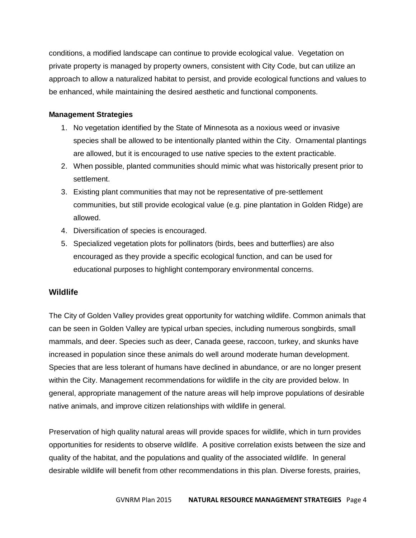conditions, a modified landscape can continue to provide ecological value. Vegetation on private property is managed by property owners, consistent with City Code, but can utilize an approach to allow a naturalized habitat to persist, and provide ecological functions and values to be enhanced, while maintaining the desired aesthetic and functional components.

#### **Management Strategies**

- 1. No vegetation identified by the State of Minnesota as a noxious weed or invasive species shall be allowed to be intentionally planted within the City. Ornamental plantings are allowed, but it is encouraged to use native species to the extent practicable.
- 2. When possible, planted communities should mimic what was historically present prior to settlement.
- 3. Existing plant communities that may not be representative of pre-settlement communities, but still provide ecological value (e.g. pine plantation in Golden Ridge) are allowed.
- 4. Diversification of species is encouraged.
- 5. Specialized vegetation plots for pollinators (birds, bees and butterflies) are also encouraged as they provide a specific ecological function, and can be used for educational purposes to highlight contemporary environmental concerns.

# **Wildlife**

The City of Golden Valley provides great opportunity for watching wildlife. Common animals that can be seen in Golden Valley are typical urban species, including numerous songbirds, small mammals, and deer. Species such as deer, Canada geese, raccoon, turkey, and skunks have increased in population since these animals do well around moderate human development. Species that are less tolerant of humans have declined in abundance, or are no longer present within the City. Management recommendations for wildlife in the city are provided below. In general, appropriate management of the nature areas will help improve populations of desirable native animals, and improve citizen relationships with wildlife in general.

Preservation of high quality natural areas will provide spaces for wildlife, which in turn provides opportunities for residents to observe wildlife. A positive correlation exists between the size and quality of the habitat, and the populations and quality of the associated wildlife. In general desirable wildlife will benefit from other recommendations in this plan. Diverse forests, prairies,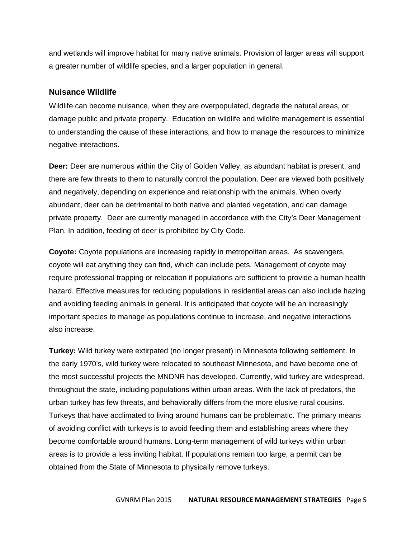and wetlands will improve habitat for many native animals. Provision of larger areas will support a greater number of wildlife species, and a larger population in general.

#### **Nuisance Wildlife**

Wildlife can become nuisance, when they are overpopulated, degrade the natural areas, or damage public and private property. Education on wildlife and wildlife management is essential to understanding the cause of these interactions, and how to manage the resources to minimize negative interactions.

**Deer:** Deer are numerous within the City of Golden Valley, as abundant habitat is present, and there are few threats to them to naturally control the population. Deer are viewed both positively and negatively, depending on experience and relationship with the animals. When overly abundant, deer can be detrimental to both native and planted vegetation, and can damage private property. Deer are currently managed in accordance with the City's Deer Management Plan. In addition, feeding of deer is prohibited by City Code.

**Coyote:** Coyote populations are increasing rapidly in metropolitan areas. As scavengers, coyote will eat anything they can find, which can include pets. Management of coyote may require professional trapping or relocation if populations are sufficient to provide a human health hazard. Effective measures for reducing populations in residential areas can also include hazing and avoiding feeding animals in general. It is anticipated that coyote will be an increasingly important species to manage as populations continue to increase, and negative interactions also increase.

**Turkey:** Wild turkey were extirpated (no longer present) in Minnesota following settlement. In the early 1970's, wild turkey were relocated to southeast Minnesota, and have become one of the most successful projects the MNDNR has developed. Currently, wild turkey are widespread, throughout the state, including populations within urban areas. With the lack of predators, the urban turkey has few threats, and behaviorally differs from the more elusive rural cousins. Turkeys that have acclimated to living around humans can be problematic. The primary means of avoiding conflict with turkeys is to avoid feeding them and establishing areas where they become comfortable around humans. Long-term management of wild turkeys within urban areas is to provide a less inviting habitat. If populations remain too large, a permit can be obtained from the State of Minnesota to physically remove turkeys.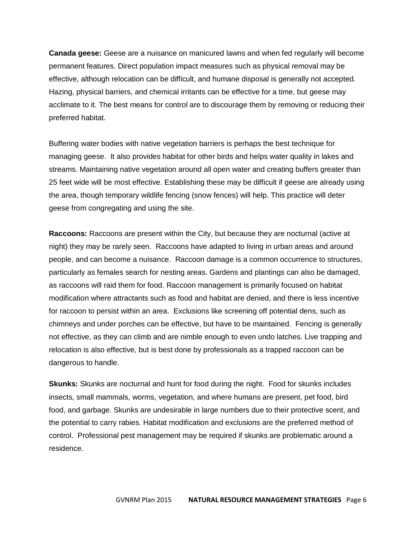**Canada geese:** Geese are a nuisance on manicured lawns and when fed regularly will become permanent features. Direct population impact measures such as physical removal may be effective, although relocation can be difficult, and humane disposal is generally not accepted. Hazing, physical barriers, and chemical irritants can be effective for a time, but geese may acclimate to it. The best means for control are to discourage them by removing or reducing their preferred habitat.

Buffering water bodies with native vegetation barriers is perhaps the best technique for managing geese. It also provides habitat for other birds and helps water quality in lakes and streams. Maintaining native vegetation around all open water and creating buffers greater than 25 feet wide will be most effective. Establishing these may be difficult if geese are already using the area, though temporary wildlife fencing (snow fences) will help. This practice will deter geese from congregating and using the site.

**Raccoons:** Raccoons are present within the City, but because they are nocturnal (active at night) they may be rarely seen. Raccoons have adapted to living in urban areas and around people, and can become a nuisance. Raccoon damage is a common occurrence to structures, particularly as females search for nesting areas. Gardens and plantings can also be damaged, as raccoons will raid them for food. Raccoon management is primarily focused on habitat modification where attractants such as food and habitat are denied, and there is less incentive for raccoon to persist within an area. Exclusions like screening off potential dens, such as chimneys and under porches can be effective, but have to be maintained. Fencing is generally not effective, as they can climb and are nimble enough to even undo latches. Live trapping and relocation is also effective, but is best done by professionals as a trapped raccoon can be dangerous to handle.

**Skunks:** Skunks are nocturnal and hunt for food during the night. Food for skunks includes insects, small mammals, worms, vegetation, and where humans are present, pet food, bird food, and garbage. Skunks are undesirable in large numbers due to their protective scent, and the potential to carry rabies. Habitat modification and exclusions are the preferred method of control. Professional pest management may be required if skunks are problematic around a residence.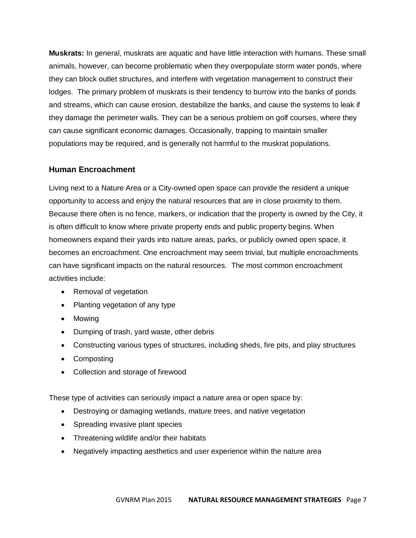**Muskrats:** In general, muskrats are aquatic and have little interaction with humans. These small animals, however, can become problematic when they overpopulate storm water ponds, where they can block outlet structures, and interfere with vegetation management to construct their lodges. The primary problem of muskrats is their tendency to burrow into the banks of ponds and streams, which can cause erosion, destabilize the banks, and cause the systems to leak if they damage the perimeter walls. They can be a serious problem on golf courses, where they can cause significant economic damages. Occasionally, trapping to maintain smaller populations may be required, and is generally not harmful to the muskrat populations.

#### **Human Encroachment**

Living next to a Nature Area or a City-owned open space can provide the resident a unique opportunity to access and enjoy the natural resources that are in close proximity to them. Because there often is no fence, markers, or indication that the property is owned by the City, it is often difficult to know where private property ends and public property begins. When homeowners expand their yards into nature areas, parks, or publicly owned open space, it becomes an encroachment. One encroachment may seem trivial, but multiple encroachments can have significant impacts on the natural resources. The most common encroachment activities include:

- Removal of vegetation
- Planting vegetation of any type
- Mowing
- Dumping of trash, yard waste, other debris
- Constructing various types of structures, including sheds, fire pits, and play structures
- Composting
- Collection and storage of firewood

These type of activities can seriously impact a nature area or open space by:

- Destroying or damaging wetlands, mature trees, and native vegetation
- Spreading invasive plant species
- Threatening wildlife and/or their habitats
- Negatively impacting aesthetics and user experience within the nature area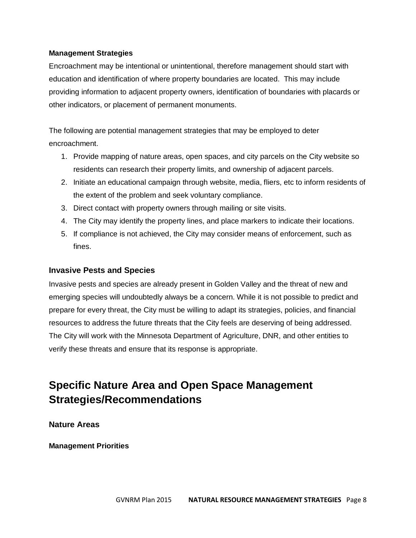#### **Management Strategies**

Encroachment may be intentional or unintentional, therefore management should start with education and identification of where property boundaries are located. This may include providing information to adjacent property owners, identification of boundaries with placards or other indicators, or placement of permanent monuments.

The following are potential management strategies that may be employed to deter encroachment.

- 1. Provide mapping of nature areas, open spaces, and city parcels on the City website so residents can research their property limits, and ownership of adjacent parcels.
- 2. Initiate an educational campaign through website, media, fliers, etc to inform residents of the extent of the problem and seek voluntary compliance.
- 3. Direct contact with property owners through mailing or site visits.
- 4. The City may identify the property lines, and place markers to indicate their locations.
- 5. If compliance is not achieved, the City may consider means of enforcement, such as fines.

# **Invasive Pests and Species**

Invasive pests and species are already present in Golden Valley and the threat of new and emerging species will undoubtedly always be a concern. While it is not possible to predict and prepare for every threat, the City must be willing to adapt its strategies, policies, and financial resources to address the future threats that the City feels are deserving of being addressed. The City will work with the Minnesota Department of Agriculture, DNR, and other entities to verify these threats and ensure that its response is appropriate.

# **Specific Nature Area and Open Space Management Strategies/Recommendations**

**Nature Areas**

**Management Priorities**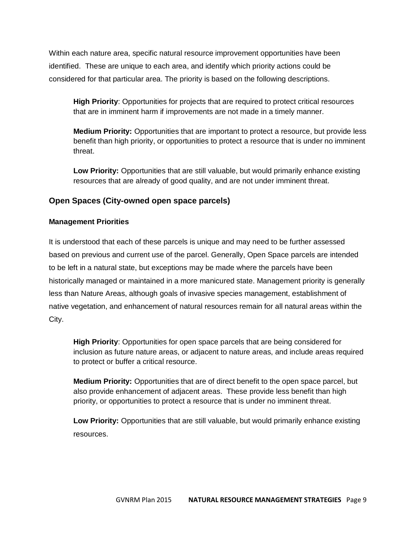Within each nature area, specific natural resource improvement opportunities have been identified. These are unique to each area, and identify which priority actions could be considered for that particular area. The priority is based on the following descriptions.

**High Priority**: Opportunities for projects that are required to protect critical resources that are in imminent harm if improvements are not made in a timely manner.

**Medium Priority:** Opportunities that are important to protect a resource, but provide less benefit than high priority, or opportunities to protect a resource that is under no imminent threat.

**Low Priority:** Opportunities that are still valuable, but would primarily enhance existing resources that are already of good quality, and are not under imminent threat.

# **Open Spaces (City-owned open space parcels)**

#### **Management Priorities**

It is understood that each of these parcels is unique and may need to be further assessed based on previous and current use of the parcel. Generally, Open Space parcels are intended to be left in a natural state, but exceptions may be made where the parcels have been historically managed or maintained in a more manicured state. Management priority is generally less than Nature Areas, although goals of invasive species management, establishment of native vegetation, and enhancement of natural resources remain for all natural areas within the City.

**High Priority**: Opportunities for open space parcels that are being considered for inclusion as future nature areas, or adjacent to nature areas, and include areas required to protect or buffer a critical resource.

**Medium Priority:** Opportunities that are of direct benefit to the open space parcel, but also provide enhancement of adjacent areas. These provide less benefit than high priority, or opportunities to protect a resource that is under no imminent threat.

**Low Priority:** Opportunities that are still valuable, but would primarily enhance existing resources.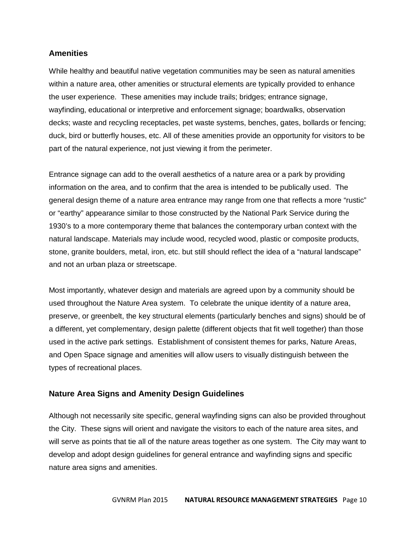#### **Amenities**

While healthy and beautiful native vegetation communities may be seen as natural amenities within a nature area, other amenities or structural elements are typically provided to enhance the user experience. These amenities may include trails; bridges; entrance signage, wayfinding, educational or interpretive and enforcement signage; boardwalks, observation decks; waste and recycling receptacles, pet waste systems, benches, gates, bollards or fencing; duck, bird or butterfly houses, etc. All of these amenities provide an opportunity for visitors to be part of the natural experience, not just viewing it from the perimeter.

Entrance signage can add to the overall aesthetics of a nature area or a park by providing information on the area, and to confirm that the area is intended to be publically used. The general design theme of a nature area entrance may range from one that reflects a more "rustic" or "earthy" appearance similar to those constructed by the National Park Service during the 1930's to a more contemporary theme that balances the contemporary urban context with the natural landscape. Materials may include wood, recycled wood, plastic or composite products, stone, granite boulders, metal, iron, etc. but still should reflect the idea of a "natural landscape" and not an urban plaza or streetscape.

Most importantly, whatever design and materials are agreed upon by a community should be used throughout the Nature Area system. To celebrate the unique identity of a nature area, preserve, or greenbelt, the key structural elements (particularly benches and signs) should be of a different, yet complementary, design palette (different objects that fit well together) than those used in the active park settings. Establishment of consistent themes for parks, Nature Areas, and Open Space signage and amenities will allow users to visually distinguish between the types of recreational places.

# **Nature Area Signs and Amenity Design Guidelines**

Although not necessarily site specific, general wayfinding signs can also be provided throughout the City. These signs will orient and navigate the visitors to each of the nature area sites, and will serve as points that tie all of the nature areas together as one system. The City may want to develop and adopt design guidelines for general entrance and wayfinding signs and specific nature area signs and amenities.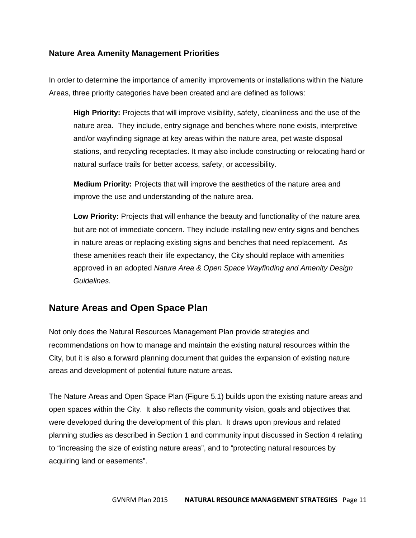# **Nature Area Amenity Management Priorities**

In order to determine the importance of amenity improvements or installations within the Nature Areas, three priority categories have been created and are defined as follows:

**High Priority:** Projects that will improve visibility, safety, cleanliness and the use of the nature area. They include, entry signage and benches where none exists, interpretive and/or wayfinding signage at key areas within the nature area, pet waste disposal stations, and recycling receptacles. It may also include constructing or relocating hard or natural surface trails for better access, safety, or accessibility.

**Medium Priority:** Projects that will improve the aesthetics of the nature area and improve the use and understanding of the nature area.

**Low Priority:** Projects that will enhance the beauty and functionality of the nature area but are not of immediate concern. They include installing new entry signs and benches in nature areas or replacing existing signs and benches that need replacement. As these amenities reach their life expectancy, the City should replace with amenities approved in an adopted *Nature Area & Open Space Wayfinding and Amenity Design Guidelines.*

# **Nature Areas and Open Space Plan**

Not only does the Natural Resources Management Plan provide strategies and recommendations on how to manage and maintain the existing natural resources within the City, but it is also a forward planning document that guides the expansion of existing nature areas and development of potential future nature areas.

The Nature Areas and Open Space Plan (Figure 5.1) builds upon the existing nature areas and open spaces within the City. It also reflects the community vision, goals and objectives that were developed during the development of this plan. It draws upon previous and related planning studies as described in Section 1 and community input discussed in Section 4 relating to "increasing the size of existing nature areas", and to "protecting natural resources by acquiring land or easements".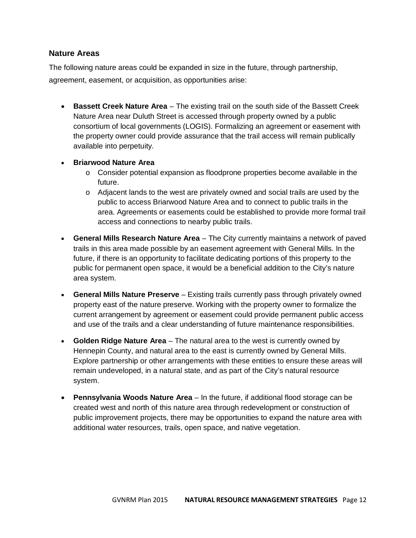#### **Nature Areas**

The following nature areas could be expanded in size in the future, through partnership, agreement, easement, or acquisition, as opportunities arise:

- **Bassett Creek Nature Area** The existing trail on the south side of the Bassett Creek Nature Area near Duluth Street is accessed through property owned by a public consortium of local governments (LOGIS). Formalizing an agreement or easement with the property owner could provide assurance that the trail access will remain publically available into perpetuity.
- **Briarwood Nature Area**
	- $\circ$  Consider potential expansion as floodprone properties become available in the future.
	- $\circ$  Adjacent lands to the west are privately owned and social trails are used by the public to access Briarwood Nature Area and to connect to public trails in the area. Agreements or easements could be established to provide more formal trail access and connections to nearby public trails.
- **General Mills Research Nature Area** The City currently maintains a network of paved trails in this area made possible by an easement agreement with General Mills. In the future, if there is an opportunity to facilitate dedicating portions of this property to the public for permanent open space, it would be a beneficial addition to the City's nature area system.
- **General Mills Nature Preserve** Existing trails currently pass through privately owned property east of the nature preserve. Working with the property owner to formalize the current arrangement by agreement or easement could provide permanent public access and use of the trails and a clear understanding of future maintenance responsibilities.
- **Golden Ridge Nature Area** The natural area to the west is currently owned by Hennepin County, and natural area to the east is currently owned by General Mills. Explore partnership or other arrangements with these entities to ensure these areas will remain undeveloped, in a natural state, and as part of the City's natural resource system.
- **Pennsylvania Woods Nature Area** In the future, if additional flood storage can be created west and north of this nature area through redevelopment or construction of public improvement projects, there may be opportunities to expand the nature area with additional water resources, trails, open space, and native vegetation.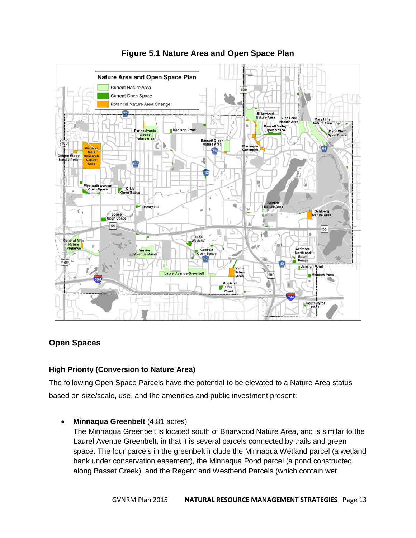

# **Figure 5.1 Nature Area and Open Space Plan**

# **Open Spaces**

# **High Priority (Conversion to Nature Area)**

The following Open Space Parcels have the potential to be elevated to a Nature Area status based on size/scale, use, and the amenities and public investment present:

**Minnaqua Greenbelt** (4.81 acres)

The Minnaqua Greenbelt is located south of Briarwood Nature Area, and is similar to the Laurel Avenue Greenbelt, in that it is several parcels connected by trails and green space. The four parcels in the greenbelt include the Minnaqua Wetland parcel (a wetland bank under conservation easement), the Minnaqua Pond parcel (a pond constructed along Basset Creek), and the Regent and Westbend Parcels (which contain wet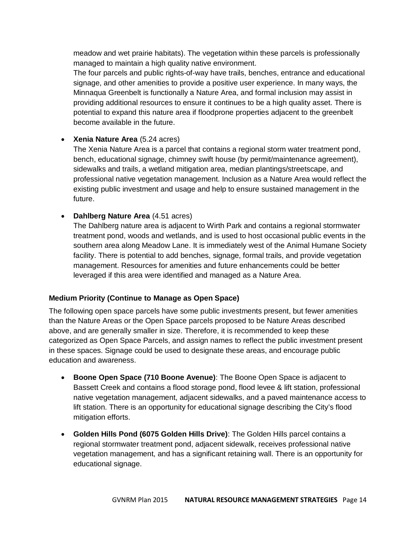meadow and wet prairie habitats). The vegetation within these parcels is professionally managed to maintain a high quality native environment.

The four parcels and public rights-of-way have trails, benches, entrance and educational signage, and other amenities to provide a positive user experience. In many ways, the Minnaqua Greenbelt is functionally a Nature Area, and formal inclusion may assist in providing additional resources to ensure it continues to be a high quality asset. There is potential to expand this nature area if floodprone properties adjacent to the greenbelt become available in the future.

# **Xenia Nature Area** (5.24 acres)

The Xenia Nature Area is a parcel that contains a regional storm water treatment pond, bench, educational signage, chimney swift house (by permit/maintenance agreement), sidewalks and trails, a wetland mitigation area, median plantings/streetscape, and professional native vegetation management. Inclusion as a Nature Area would reflect the existing public investment and usage and help to ensure sustained management in the future.

# **Dahlberg Nature Area** (4.51 acres)

The Dahlberg nature area is adjacent to Wirth Park and contains a regional stormwater treatment pond, woods and wetlands, and is used to host occasional public events in the southern area along Meadow Lane. It is immediately west of the Animal Humane Society facility. There is potential to add benches, signage, formal trails, and provide vegetation management. Resources for amenities and future enhancements could be better leveraged if this area were identified and managed as a Nature Area.

# **Medium Priority (Continue to Manage as Open Space)**

The following open space parcels have some public investments present, but fewer amenities than the Nature Areas or the Open Space parcels proposed to be Nature Areas described above, and are generally smaller in size. Therefore, it is recommended to keep these categorized as Open Space Parcels, and assign names to reflect the public investment present in these spaces. Signage could be used to designate these areas, and encourage public education and awareness.

- **Boone Open Space (710 Boone Avenue)**: The Boone Open Space is adjacent to Bassett Creek and contains a flood storage pond, flood levee & lift station, professional native vegetation management, adjacent sidewalks, and a paved maintenance access to lift station. There is an opportunity for educational signage describing the City's flood mitigation efforts.
- **Golden Hills Pond (6075 Golden Hills Drive)**: The Golden Hills parcel contains a regional stormwater treatment pond, adjacent sidewalk, receives professional native vegetation management, and has a significant retaining wall. There is an opportunity for educational signage.